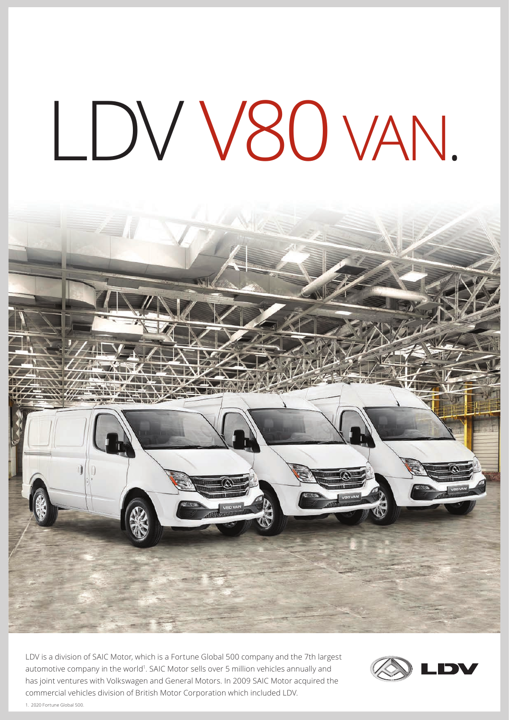## LDV V80 VAN.



LDV is a division of SAIC Motor, which is a Fortune Global 500 company and the 7th largest automotive company in the world<sup>1</sup>. SAIC Motor sells over 5 million vehicles annually and has joint ventures with Volkswagen and General Motors. In 2009 SAIC Motor acquired the commercial vehicles division of British Motor Corporation which included LDV.



1. 2020 Fortune Global 500.